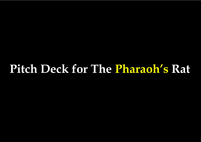# **Pitch Deck for The Pharaoh's Rat**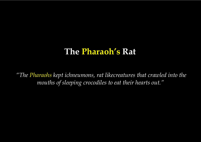## **The Pharaoh's Rat**

*"The Pharaohs kept ichneumons, rat likecreatures that crawled into the mouths of sleeping crocodiles to eat their hearts out."*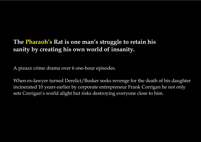## **The Pharaoh's Rat is one man's struggle to retain his sanity by creating his own world of insanity.**

A pizazz crime drama over 6 one-hour episodes.

When ex-lawyer turned Derelict/Busker seeks revenge for the death of his daughter incinerated 10 years earlier by corporate entrepreneur Frank Corrigan he not only sets Corrigan's world alight but risks destroying everyone close to him.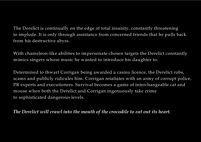The Derelict is continually on the edge of total insanity, constantly threatening to implode. It is only through assistance from concerned friends that he pulls back from his destructive abyss.

With chameleon-like abilities to impersonate chosen targets the Derelict constantly mimics singers whose music he wanted to introduce his daughter to.

Determined to thwart Corrigan being awarded a casino licence, the Derelict robs, scams and publicly ridicules him. Corrigan retaliates with an army of corrupt police, PR experts and executioners. Survival becomes a game of interchangeable cat and mouse when both the Derelict and Corrigan ingenuously take crime to sophisticated dangerous levels.

### *The Derelict will crawl into the mouth of the crocodile to eat out its heart.*